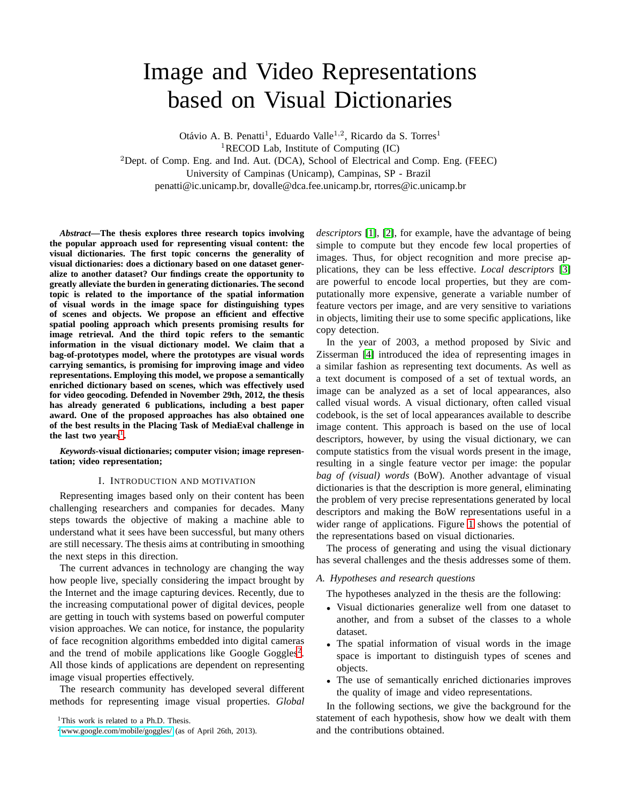# Image and Video Representations based on Visual Dictionaries

Otávio A. B. Penatti<sup>1</sup>, Eduardo Valle<sup>1,2</sup>, Ricardo da S. Torres<sup>1</sup> <sup>1</sup>RECOD Lab, Institute of Computing  $(IC)$ <sup>2</sup>Dept. of Comp. Eng. and Ind. Aut. (DCA), School of Electrical and Comp. Eng. (FEEC) University of Campinas (Unicamp), Campinas, SP - Brazil penatti@ic.unicamp.br, dovalle@dca.fee.unicamp.br, rtorres@ic.unicamp.br

*Abstract***—The thesis explores three research topics involving the popular approach used for representing visual content: the visual dictionaries. The first topic concerns the generality of visual dictionaries: does a dictionary based on one dataset generalize to another dataset? Our findings create the opportunity to greatly alleviate the burden in generating dictionaries. The second topic is related to the importance of the spatial information of visual words in the image space for distinguishing types of scenes and objects. We propose an efficient and effective spatial pooling approach which presents promising results for image retrieval. And the third topic refers to the semantic information in the visual dictionary model. We claim that a bag-of-prototypes model, where the prototypes are visual words carrying semantics, is promising for improving image and video representations. Employing this model, we propose a semantically enriched dictionary based on scenes, which was effectively used for video geocoding. Defended in November 29th, 2012, the thesis has already generated 6 publications, including a best paper award. One of the proposed approaches has also obtained one of the best results in the Placing Task of MediaEval challenge in** the last two years<sup>[1](#page-0-0)</sup>.

*Keywords***-visual dictionaries; computer vision; image representation; video representation;**

#### I. INTRODUCTION AND MOTIVATION

Representing images based only on their content has been challenging researchers and companies for decades. Many steps towards the objective of making a machine able to understand what it sees have been successful, but many others are still necessary. The thesis aims at contributing in smoothing the next steps in this direction.

The current advances in technology are changing the way how people live, specially considering the impact brought by the Internet and the image capturing devices. Recently, due to the increasing computational power of digital devices, people are getting in touch with systems based on powerful computer vision approaches. We can notice, for instance, the popularity of face recognition algorithms embedded into digital cameras and the trend of mobile applications like Google Goggles<sup>[2](#page-0-1)</sup>. All those kinds of applications are dependent on representing image visual properties effectively.

The research community has developed several different methods for representing image visual properties. *Global* *descriptors* [\[1\]](#page-5-0), [\[2\]](#page-5-1), for example, have the advantage of being simple to compute but they encode few local properties of images. Thus, for object recognition and more precise applications, they can be less effective. *Local descriptors* [\[3\]](#page-5-2) are powerful to encode local properties, but they are computationally more expensive, generate a variable number of feature vectors per image, and are very sensitive to variations in objects, limiting their use to some specific applications, like copy detection.

In the year of 2003, a method proposed by Sivic and Zisserman [\[4\]](#page-5-3) introduced the idea of representing images in a similar fashion as representing text documents. As well as a text document is composed of a set of textual words, an image can be analyzed as a set of local appearances, also called visual words. A visual dictionary, often called visual codebook, is the set of local appearances available to describe image content. This approach is based on the use of local descriptors, however, by using the visual dictionary, we can compute statistics from the visual words present in the image, resulting in a single feature vector per image: the popular *bag of (visual) words* (BoW). Another advantage of visual dictionaries is that the description is more general, eliminating the problem of very precise representations generated by local descriptors and making the BoW representations useful in a wider range of applications. Figure [1](#page-1-0) shows the potential of the representations based on visual dictionaries.

The process of generating and using the visual dictionary has several challenges and the thesis addresses some of them.

## *A. Hypotheses and research questions*

The hypotheses analyzed in the thesis are the following:

- Visual dictionaries generalize well from one dataset to another, and from a subset of the classes to a whole dataset.
- The spatial information of visual words in the image space is important to distinguish types of scenes and objects.
- The use of semantically enriched dictionaries improves the quality of image and video representations.

In the following sections, we give the background for the statement of each hypothesis, show how we dealt with them and the contributions obtained.

<sup>&</sup>lt;sup>1</sup>This work is related to a Ph.D. Thesis.

<span id="page-0-1"></span><span id="page-0-0"></span><sup>2</sup><www.google.com/mobile/goggles/> (as of April 26th, 2013).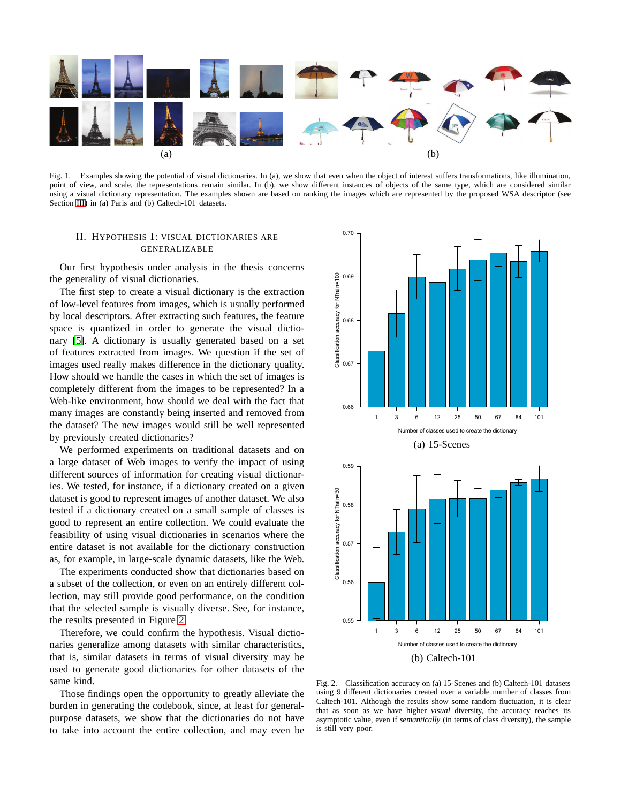

<span id="page-1-0"></span>Fig. 1. Examples showing the potential of visual dictionaries. In (a), we show that even when the object of interest suffers transformations, like illumination, point of view, and scale, the representations remain similar. In (b), we show different instances of objects of the same type, which are considered similar using a visual dictionary representation. The examples shown are based on ranking the images which are represented by the proposed WSA descriptor (see Section [III\)](#page-2-0) in (a) Paris and (b) Caltech-101 datasets.

# II. HYPOTHESIS 1: VISUAL DICTIONARIES ARE GENERALIZABLE

Our first hypothesis under analysis in the thesis concerns the generality of visual dictionaries.

The first step to create a visual dictionary is the extraction of low-level features from images, which is usually performed by local descriptors. After extracting such features, the feature space is quantized in order to generate the visual dictionary [\[5\]](#page-5-4). A dictionary is usually generated based on a set of features extracted from images. We question if the set of images used really makes difference in the dictionary quality. How should we handle the cases in which the set of images is completely different from the images to be represented? In a Web-like environment, how should we deal with the fact that many images are constantly being inserted and removed from the dataset? The new images would still be well represented by previously created dictionaries?

We performed experiments on traditional datasets and on a large dataset of Web images to verify the impact of using different sources of information for creating visual dictionaries. We tested, for instance, if a dictionary created on a given dataset is good to represent images of another dataset. We also tested if a dictionary created on a small sample of classes is good to represent an entire collection. We could evaluate the feasibility of using visual dictionaries in scenarios where the entire dataset is not available for the dictionary construction as, for example, in large-scale dynamic datasets, like the Web.

The experiments conducted show that dictionaries based on a subset of the collection, or even on an entirely different collection, may still provide good performance, on the condition that the selected sample is visually diverse. See, for instance, the results presented in Figure [2.](#page-1-1)

Therefore, we could confirm the hypothesis. Visual dictionaries generalize among datasets with similar characteristics, that is, similar datasets in terms of visual diversity may be used to generate good dictionaries for other datasets of the same kind.

Those findings open the opportunity to greatly alleviate the burden in generating the codebook, since, at least for generalpurpose datasets, we show that the dictionaries do not have to take into account the entire collection, and may even be



<span id="page-1-1"></span>Fig. 2. Classification accuracy on (a) 15-Scenes and (b) Caltech-101 datasets using 9 different dictionaries created over a variable number of classes from Caltech-101. Although the results show some random fluctuation, it is clear that as soon as we have higher *visual* diversity, the accuracy reaches its asymptotic value, even if *semantically* (in terms of class diversity), the sample is still very poor.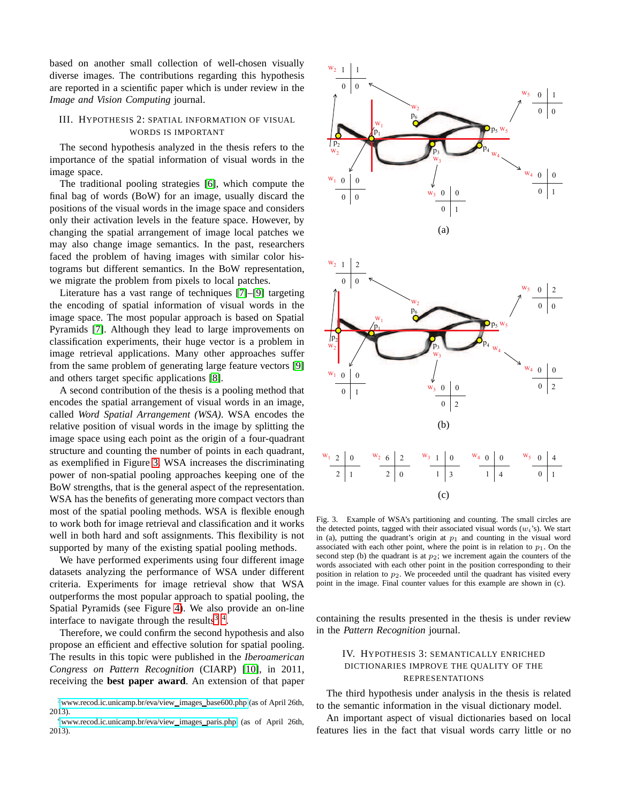based on another small collection of well-chosen visually diverse images. The contributions regarding this hypothesis are reported in a scientific paper which is under review in the *Image and Vision Computing* journal.

## <span id="page-2-0"></span>III. HYPOTHESIS 2: SPATIAL INFORMATION OF VISUAL WORDS IS IMPORTANT

The second hypothesis analyzed in the thesis refers to the importance of the spatial information of visual words in the image space.

The traditional pooling strategies [\[6\]](#page-5-5), which compute the final bag of words (BoW) for an image, usually discard the positions of the visual words in the image space and considers only their activation levels in the feature space. However, by changing the spatial arrangement of image local patches we may also change image semantics. In the past, researchers faced the problem of having images with similar color histograms but different semantics. In the BoW representation, we migrate the problem from pixels to local patches.

Literature has a vast range of techniques [\[7\]](#page-5-6)–[\[9\]](#page-5-7) targeting the encoding of spatial information of visual words in the image space. The most popular approach is based on Spatial Pyramids [\[7\]](#page-5-6). Although they lead to large improvements on classification experiments, their huge vector is a problem in image retrieval applications. Many other approaches suffer from the same problem of generating large feature vectors [\[9\]](#page-5-7) and others target specific applications [\[8\]](#page-5-8).

A second contribution of the thesis is a pooling method that encodes the spatial arrangement of visual words in an image, called *Word Spatial Arrangement (WSA)*. WSA encodes the relative position of visual words in the image by splitting the image space using each point as the origin of a four-quadrant structure and counting the number of points in each quadrant, as exemplified in Figure [3.](#page-2-1) WSA increases the discriminating power of non-spatial pooling approaches keeping one of the BoW strengths, that is the general aspect of the representation. WSA has the benefits of generating more compact vectors than most of the spatial pooling methods. WSA is flexible enough to work both for image retrieval and classification and it works well in both hard and soft assignments. This flexibility is not supported by many of the existing spatial pooling methods.

We have performed experiments using four different image datasets analyzing the performance of WSA under different criteria. Experiments for image retrieval show that WSA outperforms the most popular approach to spatial pooling, the Spatial Pyramids (see Figure [4\)](#page-3-0). We also provide an on-line interface to navigate through the results<sup>[3](#page-2-2)</sup><sup>4</sup>.

Therefore, we could confirm the second hypothesis and also propose an efficient and effective solution for spatial pooling. The results in this topic were published in the *Iberoamerican Congress on Pattern Recognition* (CIARP) [\[10\]](#page-5-9), in 2011, receiving the **best paper award**. An extension of that paper

<span id="page-2-2"></span>

<span id="page-2-3"></span>





<span id="page-2-1"></span>Fig. 3. Example of WSA's partitioning and counting. The small circles are the detected points, tagged with their associated visual words  $(w_i)$ . We start in (a), putting the quadrant's origin at  $p_1$  and counting in the visual word associated with each other point, where the point is in relation to  $p_1$ . On the second step (b) the quadrant is at  $p_2$ ; we increment again the counters of the words associated with each other point in the position corresponding to their position in relation to  $p_2$ . We proceeded until the quadrant has visited every point in the image. Final counter values for this example are shown in (c).

containing the results presented in the thesis is under review in the *Pattern Recognition* journal.

# IV. HYPOTHESIS 3: SEMANTICALLY ENRICHED DICTIONARIES IMPROVE THE QUALITY OF THE REPRESENTATIONS

The third hypothesis under analysis in the thesis is related to the semantic information in the visual dictionary model.

An important aspect of visual dictionaries based on local features lies in the fact that visual words carry little or no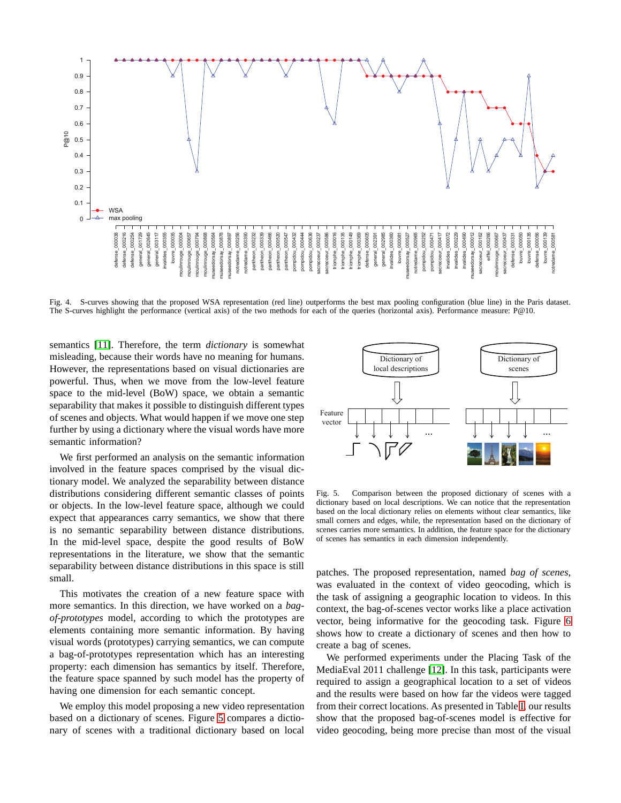

<span id="page-3-0"></span>Fig. 4. S-curves showing that the proposed WSA representation (red line) outperforms the best max pooling configuration (blue line) in the Paris dataset. The S-curves highlight the performance (vertical axis) of the two methods for each of the queries (horizontal axis). Performance measure: P@10.

semantics [\[11\]](#page-5-10). Therefore, the term *dictionary* is somewhat misleading, because their words have no meaning for humans. However, the representations based on visual dictionaries are powerful. Thus, when we move from the low-level feature space to the mid-level (BoW) space, we obtain a semantic separability that makes it possible to distinguish different types of scenes and objects. What would happen if we move one step further by using a dictionary where the visual words have more semantic information?

We first performed an analysis on the semantic information involved in the feature spaces comprised by the visual dictionary model. We analyzed the separability between distance distributions considering different semantic classes of points or objects. In the low-level feature space, although we could expect that appearances carry semantics, we show that there is no semantic separability between distance distributions. In the mid-level space, despite the good results of BoW representations in the literature, we show that the semantic separability between distance distributions in this space is still small.

This motivates the creation of a new feature space with more semantics. In this direction, we have worked on a *bagof-prototypes* model, according to which the prototypes are elements containing more semantic information. By having visual words (prototypes) carrying semantics, we can compute a bag-of-prototypes representation which has an interesting property: each dimension has semantics by itself. Therefore, the feature space spanned by such model has the property of having one dimension for each semantic concept.

We employ this model proposing a new video representation based on a dictionary of scenes. Figure [5](#page-3-1) compares a dictionary of scenes with a traditional dictionary based on local



<span id="page-3-1"></span>Fig. 5. Comparison between the proposed dictionary of scenes with a dictionary based on local descriptions. We can notice that the representation based on the local dictionary relies on elements without clear semantics, like small corners and edges, while, the representation based on the dictionary of scenes carries more semantics. In addition, the feature space for the dictionary of scenes has semantics in each dimension independently.

patches. The proposed representation, named *bag of scenes*, was evaluated in the context of video geocoding, which is the task of assigning a geographic location to videos. In this context, the bag-of-scenes vector works like a place activation vector, being informative for the geocoding task. Figure [6](#page-4-0) shows how to create a dictionary of scenes and then how to create a bag of scenes.

We performed experiments under the Placing Task of the MediaEval 2011 challenge [\[12\]](#page-5-11). In this task, participants were required to assign a geographical location to a set of videos and the results were based on how far the videos were tagged from their correct locations. As presented in Table [I,](#page-5-12) our results show that the proposed bag-of-scenes model is effective for video geocoding, being more precise than most of the visual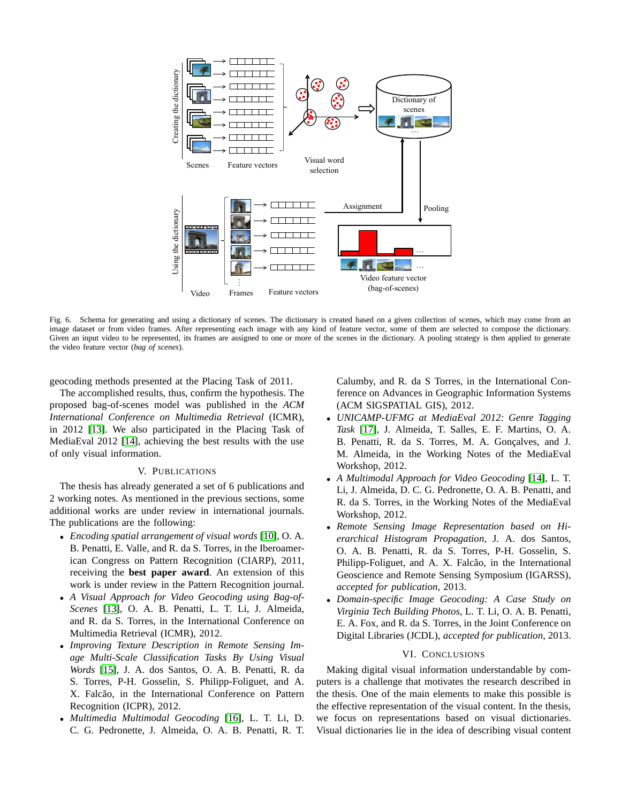

<span id="page-4-0"></span>Fig. 6. Schema for generating and using a dictionary of scenes. The dictionary is created based on a given collection of scenes, which may come from an image dataset or from video frames. After representing each image with any kind of feature vector, some of them are selected to compose the dictionary. Given an input video to be represented, its frames are assigned to one or more of the scenes in the dictionary. A pooling strategy is then applied to generate the video feature vector (*bag of scenes*).

geocoding methods presented at the Placing Task of 2011.

The accomplished results, thus, confirm the hypothesis. The proposed bag-of-scenes model was published in the *ACM International Conference on Multimedia Retrieval* (ICMR), in 2012 [\[13\]](#page-5-13). We also participated in the Placing Task of MediaEval 2012 [\[14\]](#page-5-14), achieving the best results with the use of only visual information.

## V. PUBLICATIONS

The thesis has already generated a set of 6 publications and 2 working notes. As mentioned in the previous sections, some additional works are under review in international journals. The publications are the following:

- *Encoding spatial arrangement of visual words* [\[10\]](#page-5-9), O. A. B. Penatti, E. Valle, and R. da S. Torres, in the Iberoamerican Congress on Pattern Recognition (CIARP), 2011, receiving the **best paper award**. An extension of this work is under review in the Pattern Recognition journal.
- *A Visual Approach for Video Geocoding using Bag-of-Scenes* [\[13\]](#page-5-13), O. A. B. Penatti, L. T. Li, J. Almeida, and R. da S. Torres, in the International Conference on Multimedia Retrieval (ICMR), 2012.
- *Improving Texture Description in Remote Sensing Image Multi-Scale Classification Tasks By Using Visual Words* [\[15\]](#page-5-15), J. A. dos Santos, O. A. B. Penatti, R. da S. Torres, P-H. Gosselin, S. Philipp-Foliguet, and A. X. Falcão, in the International Conference on Pattern Recognition (ICPR), 2012.
- *Multimedia Multimodal Geocoding* [\[16\]](#page-5-16), L. T. Li, D. C. G. Pedronette, J. Almeida, O. A. B. Penatti, R. T.

Calumby, and R. da S Torres, in the International Conference on Advances in Geographic Information Systems (ACM SIGSPATIAL GIS), 2012.

- *UNICAMP-UFMG at MediaEval 2012: Genre Tagging Task* [\[17\]](#page-5-17), J. Almeida, T. Salles, E. F. Martins, O. A. B. Penatti, R. da S. Torres, M. A. Goncalves, and J. M. Almeida, in the Working Notes of the MediaEval Workshop, 2012.
- *A Multimodal Approach for Video Geocoding* [\[14\]](#page-5-14), L. T. Li, J. Almeida, D. C. G. Pedronette, O. A. B. Penatti, and R. da S. Torres, in the Working Notes of the MediaEval Workshop, 2012.
- *Remote Sensing Image Representation based on Hierarchical Histogram Propagation*, J. A. dos Santos, O. A. B. Penatti, R. da S. Torres, P-H. Gosselin, S. Philipp-Foliguet, and A. X. Falcão, in the International Geoscience and Remote Sensing Symposium (IGARSS), *accepted for publication*, 2013.
- *Domain-specific Image Geocoding: A Case Study on Virginia Tech Building Photos*, L. T. Li, O. A. B. Penatti, E. A. Fox, and R. da S. Torres, in the Joint Conference on Digital Libraries (JCDL), *accepted for publication*, 2013.

### VI. CONCLUSIONS

Making digital visual information understandable by computers is a challenge that motivates the research described in the thesis. One of the main elements to make this possible is the effective representation of the visual content. In the thesis, we focus on representations based on visual dictionaries. Visual dictionaries lie in the idea of describing visual content